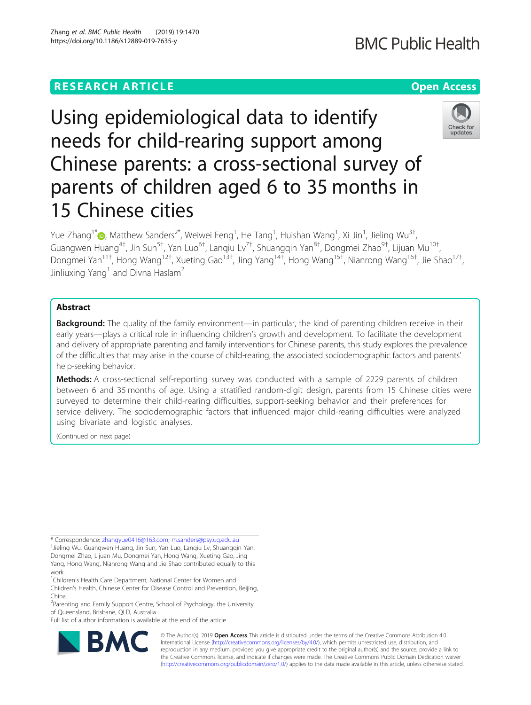# **RESEARCH ARTICLE Example 2014 12:30 The Contract of Contract ACCESS**

# Using epidemiological data to identify needs for child-rearing support among Chinese parents: a cross-sectional survey of parents of children aged 6 to 35 months in 15 Chinese cities

Yue Zhang<sup>1[\\*](http://orcid.org/0000-0001-9568-0683)</sup> (**p**, Matthew Sanders<sup>2\*</sup>, Weiwei Feng<sup>1</sup>, He Tang<sup>1</sup>, Huishan Wang<sup>1</sup>, Xi Jin<sup>1</sup>, Jieling Wu<sup>3†</sup> , Guangwen Huang<sup>4†</sup>, Jin Sun<sup>5†</sup>, Yan Luo<sup>6†</sup>, Lanqiu Lv<sup>7†</sup>, Shuangqin Yan<sup>8†</sup>, Dongmei Zhao<sup>9†</sup>, Lijuan Mu<sup>10†</sup> , Dongmei Yan<sup>11†</sup>, Hong Wang<sup>12†</sup>, Xueting Gao<sup>13†</sup>, Jing Yang<sup>14†</sup>, Hong Wang<sup>15†</sup>, Nianrong Wang<sup>16†</sup>, Jie Shao<sup>17†</sup> , Jinliuxing Yang<sup>1</sup> and Divna Haslam<sup>2</sup>

## Abstract

**Background:** The quality of the family environment—in particular, the kind of parenting children receive in their early years—plays a critical role in influencing children's growth and development. To facilitate the development and delivery of appropriate parenting and family interventions for Chinese parents, this study explores the prevalence of the difficulties that may arise in the course of child-rearing, the associated sociodemographic factors and parents' help-seeking behavior.

Methods: A cross-sectional self-reporting survey was conducted with a sample of 2229 parents of children between 6 and 35 months of age. Using a stratified random-digit design, parents from 15 Chinese cities were surveyed to determine their child-rearing difficulties, support-seeking behavior and their preferences for service delivery. The sociodemographic factors that influenced major child-rearing difficulties were analyzed using bivariate and logistic analyses.

(Continued on next page)

Jieling Wu, Guangwen Huang, Jin Sun, Yan Luo, Lanqiu Lv, Shuangqin Yan, Dongmei Zhao, Lijuan Mu, Dongmei Yan, Hong Wang, Xueting Gao, Jing Yang, Hong Wang, Nianrong Wang and Jie Shao contributed equally to this work.

Full list of author information is available at the end of the article



© The Author(s). 2019 **Open Access** This article is distributed under the terms of the Creative Commons Attribution 4.0 International License [\(http://creativecommons.org/licenses/by/4.0/](http://creativecommons.org/licenses/by/4.0/)), which permits unrestricted use, distribution, and reproduction in any medium, provided you give appropriate credit to the original author(s) and the source, provide a link to the Creative Commons license, and indicate if changes were made. The Creative Commons Public Domain Dedication waiver [\(http://creativecommons.org/publicdomain/zero/1.0/](http://creativecommons.org/publicdomain/zero/1.0/)) applies to the data made available in this article, unless otherwise stated.





<sup>\*</sup> Correspondence: [zhangyue0416@163.com;](mailto:zhangyue0416@163.com) [m.sanders@psy.uq.edu.au](mailto:m.sanders@psy.uq.edu.au) †

<sup>&</sup>lt;sup>1</sup>Children's Health Care Department, National Center for Women and Children's Health, Chinese Center for Disease Control and Prevention, Beijing, China

<sup>&</sup>lt;sup>2</sup>Parenting and Family Support Centre, School of Psychology, the University of Queensland, Brisbane, QLD, Australia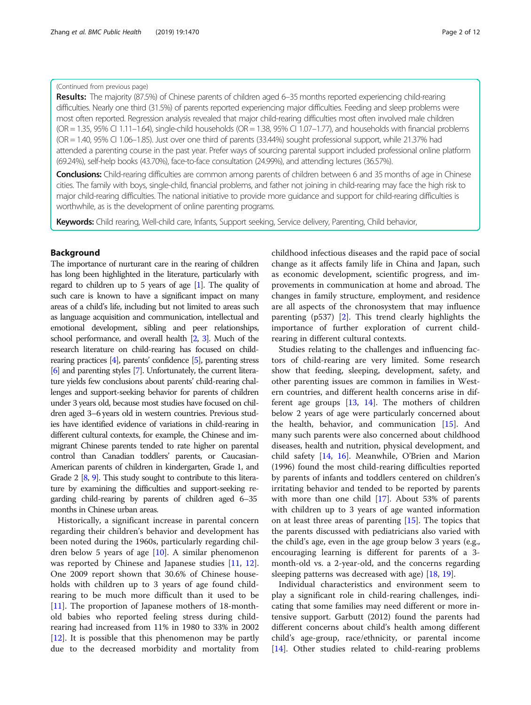#### (Continued from previous page)

Results: The majority (87.5%) of Chinese parents of children aged 6-35 months reported experiencing child-rearing difficulties. Nearly one third (31.5%) of parents reported experiencing major difficulties. Feeding and sleep problems were most often reported. Regression analysis revealed that major child-rearing difficulties most often involved male children (OR = 1.35, 95% CI 1.11–1.64), single-child households (OR = 1.38, 95% CI 1.07–1.77), and households with financial problems (OR = 1.40, 95% CI 1.06–1.85). Just over one third of parents (33.44%) sought professional support, while 21.37% had attended a parenting course in the past year. Prefer ways of sourcing parental support included professional online platform (69.24%), self-help books (43.70%), face-to-face consultation (24.99%), and attending lectures (36.57%).

Conclusions: Child-rearing difficulties are common among parents of children between 6 and 35 months of age in Chinese cities. The family with boys, single-child, financial problems, and father not joining in child-rearing may face the high risk to major child-rearing difficulties. The national initiative to provide more guidance and support for child-rearing difficulties is worthwhile, as is the development of online parenting programs.

Keywords: Child rearing, Well-child care, Infants, Support seeking, Service delivery, Parenting, Child behavior,

#### Background

The importance of nurturant care in the rearing of children has long been highlighted in the literature, particularly with regard to children up to 5 years of age [[1](#page-10-0)]. The quality of such care is known to have a significant impact on many areas of a child's life, including but not limited to areas such as language acquisition and communication, intellectual and emotional development, sibling and peer relationships, school performance, and overall health [[2](#page-10-0), [3](#page-10-0)]. Much of the research literature on child-rearing has focused on childrearing practices [[4](#page-10-0)], parents' confidence [\[5](#page-10-0)], parenting stress [[6](#page-10-0)] and parenting styles [\[7\]](#page-11-0). Unfortunately, the current literature yields few conclusions about parents' child-rearing challenges and support-seeking behavior for parents of children under 3 years old, because most studies have focused on children aged 3–6 years old in western countries. Previous studies have identified evidence of variations in child-rearing in different cultural contexts, for example, the Chinese and immigrant Chinese parents tended to rate higher on parental control than Canadian toddlers' parents, or Caucasian-American parents of children in kindergarten, Grade 1, and Grade 2 [[8](#page-11-0), [9\]](#page-11-0). This study sought to contribute to this literature by examining the difficulties and support-seeking regarding child-rearing by parents of children aged 6–35 months in Chinese urban areas.

Historically, a significant increase in parental concern regarding their children's behavior and development has been noted during the 1960s, particularly regarding children below 5 years of age [\[10](#page-11-0)]. A similar phenomenon was reported by Chinese and Japanese studies [\[11](#page-11-0), [12](#page-11-0)]. One 2009 report shown that 30.6% of Chinese households with children up to 3 years of age found childrearing to be much more difficult than it used to be [[11\]](#page-11-0). The proportion of Japanese mothers of 18-monthold babies who reported feeling stress during childrearing had increased from 11% in 1980 to 33% in 2002 [[12\]](#page-11-0). It is possible that this phenomenon may be partly due to the decreased morbidity and mortality from childhood infectious diseases and the rapid pace of social change as it affects family life in China and Japan, such as economic development, scientific progress, and improvements in communication at home and abroad. The changes in family structure, employment, and residence are all aspects of the chronosystem that may influence parenting (p537) [\[2](#page-10-0)]. This trend clearly highlights the importance of further exploration of current childrearing in different cultural contexts.

Studies relating to the challenges and influencing factors of child-rearing are very limited. Some research show that feeding, sleeping, development, safety, and other parenting issues are common in families in Western countries, and different health concerns arise in different age groups [[13,](#page-11-0) [14](#page-11-0)]. The mothers of children below 2 years of age were particularly concerned about the health, behavior, and communication [[15\]](#page-11-0). And many such parents were also concerned about childhood diseases, health and nutrition, physical development, and child safety [\[14](#page-11-0), [16](#page-11-0)]. Meanwhile, O'Brien and Marion (1996) found the most child-rearing difficulties reported by parents of infants and toddlers centered on children's irritating behavior and tended to be reported by parents with more than one child [\[17\]](#page-11-0). About 53% of parents with children up to 3 years of age wanted information on at least three areas of parenting [[15](#page-11-0)]. The topics that the parents discussed with pediatricians also varied with the child's age, even in the age group below 3 years (e.g., encouraging learning is different for parents of a 3 month-old vs. a 2-year-old, and the concerns regarding sleeping patterns was decreased with age) [\[18](#page-11-0), [19\]](#page-11-0).

Individual characteristics and environment seem to play a significant role in child-rearing challenges, indicating that some families may need different or more intensive support. Garbutt (2012) found the parents had different concerns about child's health among different child's age-group, race/ethnicity, or parental income [[14\]](#page-11-0). Other studies related to child-rearing problems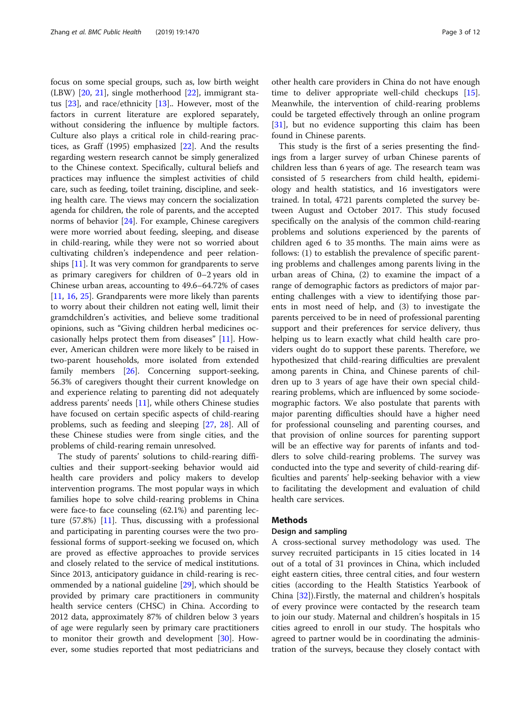focus on some special groups, such as, low birth weight (LBW) [\[20,](#page-11-0) [21\]](#page-11-0), single motherhood [\[22](#page-11-0)], immigrant status [\[23\]](#page-11-0), and race/ethnicity [\[13](#page-11-0)].. However, most of the factors in current literature are explored separately, without considering the influence by multiple factors. Culture also plays a critical role in child-rearing practices, as Graff (1995) emphasized [\[22\]](#page-11-0). And the results regarding western research cannot be simply generalized to the Chinese context. Specifically, cultural beliefs and practices may influence the simplest activities of child care, such as feeding, toilet training, discipline, and seeking health care. The views may concern the socialization agenda for children, the role of parents, and the accepted norms of behavior [\[24\]](#page-11-0). For example, Chinese caregivers were more worried about feeding, sleeping, and disease in child-rearing, while they were not so worried about cultivating children's independence and peer relationships [\[11](#page-11-0)]. It was very common for grandparents to serve as primary caregivers for children of 0–2 years old in Chinese urban areas, accounting to 49.6–64.72% of cases [[11,](#page-11-0) [16,](#page-11-0) [25\]](#page-11-0). Grandparents were more likely than parents to worry about their children not eating well, limit their gramdchildren's activities, and believe some traditional opinions, such as "Giving children herbal medicines occasionally helps protect them from diseases" [[11](#page-11-0)]. However, American children were more likely to be raised in two-parent households, more isolated from extended family members [\[26](#page-11-0)]. Concerning support-seeking, 56.3% of caregivers thought their current knowledge on and experience relating to parenting did not adequately address parents' needs [[11\]](#page-11-0), while others Chinese studies have focused on certain specific aspects of child-rearing problems, such as feeding and sleeping [[27](#page-11-0), [28\]](#page-11-0). All of these Chinese studies were from single cities, and the problems of child-rearing remain unresolved.

The study of parents' solutions to child-rearing difficulties and their support-seeking behavior would aid health care providers and policy makers to develop intervention programs. The most popular ways in which families hope to solve child-rearing problems in China were face-to face counseling (62.1%) and parenting lecture (57.8%) [[11\]](#page-11-0). Thus, discussing with a professional and participating in parenting courses were the two professional forms of support-seeking we focused on, which are proved as effective approaches to provide services and closely related to the service of medical institutions. Since 2013, anticipatory guidance in child-rearing is recommended by a national guideline [\[29\]](#page-11-0), which should be provided by primary care practitioners in community health service centers (CHSC) in China. According to 2012 data, approximately 87% of children below 3 years of age were regularly seen by primary care practitioners to monitor their growth and development [\[30](#page-11-0)]. However, some studies reported that most pediatricians and other health care providers in China do not have enough time to deliver appropriate well-child checkups [\[15](#page-11-0)]. Meanwhile, the intervention of child-rearing problems could be targeted effectively through an online program [[31\]](#page-11-0), but no evidence supporting this claim has been found in Chinese parents.

This study is the first of a series presenting the findings from a larger survey of urban Chinese parents of children less than 6 years of age. The research team was consisted of 5 researchers from child health, epidemiology and health statistics, and 16 investigators were trained. In total, 4721 parents completed the survey between August and October 2017. This study focused specifically on the analysis of the common child-rearing problems and solutions experienced by the parents of children aged 6 to 35 months. The main aims were as follows: (1) to establish the prevalence of specific parenting problems and challenges among parents living in the urban areas of China, (2) to examine the impact of a range of demographic factors as predictors of major parenting challenges with a view to identifying those parents in most need of help, and (3) to investigate the parents perceived to be in need of professional parenting support and their preferences for service delivery, thus helping us to learn exactly what child health care providers ought do to support these parents. Therefore, we hypothesized that child-rearing difficulties are prevalent among parents in China, and Chinese parents of children up to 3 years of age have their own special childrearing problems, which are influenced by some sociodemographic factors. We also postulate that parents with major parenting difficulties should have a higher need for professional counseling and parenting courses, and that provision of online sources for parenting support will be an effective way for parents of infants and toddlers to solve child-rearing problems. The survey was conducted into the type and severity of child-rearing difficulties and parents' help-seeking behavior with a view to facilitating the development and evaluation of child health care services.

#### Methods

#### Design and sampling

A cross-sectional survey methodology was used. The survey recruited participants in 15 cities located in 14 out of a total of 31 provinces in China, which included eight eastern cities, three central cities, and four western cities (according to the Health Statistics Yearbook of China [[32\]](#page-11-0)).Firstly, the maternal and children's hospitals of every province were contacted by the research team to join our study. Maternal and children's hospitals in 15 cities agreed to enroll in our study. The hospitals who agreed to partner would be in coordinating the administration of the surveys, because they closely contact with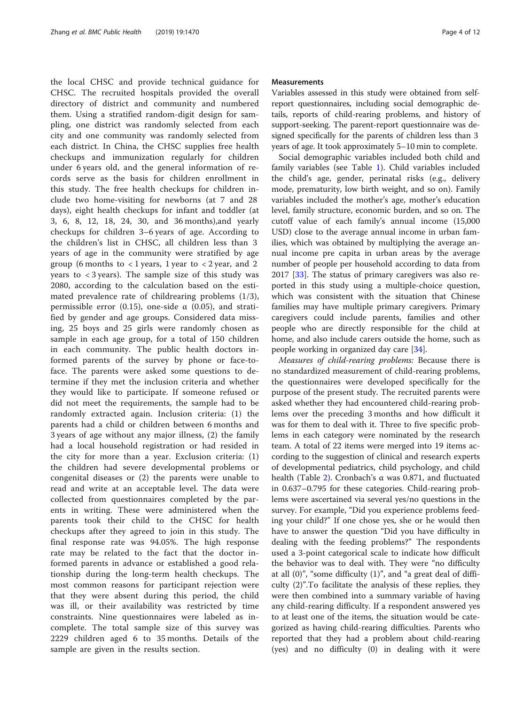the local CHSC and provide technical guidance for CHSC. The recruited hospitals provided the overall directory of district and community and numbered them. Using a stratified random-digit design for sampling, one district was randomly selected from each city and one community was randomly selected from each district. In China, the CHSC supplies free health checkups and immunization regularly for children under 6 years old, and the general information of records serve as the basis for children enrollment in this study. The free health checkups for children include two home-visiting for newborns (at 7 and 28 days), eight health checkups for infant and toddler (at 3, 6, 8, 12, 18, 24, 30, and 36 months),and yearly checkups for children 3–6 years of age. According to the children's list in CHSC, all children less than 3 years of age in the community were stratified by age group (6 months to  $\langle 1 \rangle$  years, 1 year to  $\langle 2 \rangle$  year, and 2 years to  $\langle$  3 years). The sample size of this study was 2080, according to the calculation based on the estimated prevalence rate of childrearing problems (1/3), permissible error (0.15), one-side  $\alpha$  (0.05), and stratified by gender and age groups. Considered data missing, 25 boys and 25 girls were randomly chosen as sample in each age group, for a total of 150 children in each community. The public health doctors informed parents of the survey by phone or face-toface. The parents were asked some questions to determine if they met the inclusion criteria and whether they would like to participate. If someone refused or did not meet the requirements, the sample had to be randomly extracted again. Inclusion criteria: (1) the parents had a child or children between 6 months and 3 years of age without any major illness, (2) the family had a local household registration or had resided in the city for more than a year. Exclusion criteria: (1) the children had severe developmental problems or congenital diseases or (2) the parents were unable to read and write at an acceptable level. The data were collected from questionnaires completed by the parents in writing. These were administered when the parents took their child to the CHSC for health checkups after they agreed to join in this study. The final response rate was 94.05%. The high response rate may be related to the fact that the doctor informed parents in advance or established a good relationship during the long-term health checkups. The most common reasons for participant rejection were that they were absent during this period, the child was ill, or their availability was restricted by time constraints. Nine questionnaires were labeled as incomplete. The total sample size of this survey was 2229 children aged 6 to 35 months. Details of the sample are given in the results section.

#### **Measurements**

Variables assessed in this study were obtained from selfreport questionnaires, including social demographic details, reports of child-rearing problems, and history of support-seeking. The parent-report questionnaire was designed specifically for the parents of children less than 3 years of age. It took approximately 5–10 min to complete.

Social demographic variables included both child and family variables (see Table [1\)](#page-4-0). Child variables included the child's age, gender, perinatal risks (e.g., delivery mode, prematurity, low birth weight, and so on). Family variables included the mother's age, mother's education level, family structure, economic burden, and so on. The cutoff value of each family's annual income (15,000 USD) close to the average annual income in urban families, which was obtained by multiplying the average annual income pre capita in urban areas by the average number of people per household according to data from  $2017$  [ $33$ ]. The status of primary caregivers was also reported in this study using a multiple-choice question, which was consistent with the situation that Chinese families may have multiple primary caregivers. Primary caregivers could include parents, families and other people who are directly responsible for the child at home, and also include carers outside the home, such as people working in organized day care [\[34](#page-11-0)].

Measures of child-rearing problems: Because there is no standardized measurement of child-rearing problems, the questionnaires were developed specifically for the purpose of the present study. The recruited parents were asked whether they had encountered child-rearing problems over the preceding 3 months and how difficult it was for them to deal with it. Three to five specific problems in each category were nominated by the research team. A total of 22 items were merged into 19 items according to the suggestion of clinical and research experts of developmental pediatrics, child psychology, and child health (Table [2\)](#page-5-0). Cronbach's α was 0.871, and fluctuated in 0.637–0.795 for these categories. Child-rearing problems were ascertained via several yes/no questions in the survey. For example, "Did you experience problems feeding your child?" If one chose yes, she or he would then have to answer the question "Did you have difficulty in dealing with the feeding problems?" The respondents used a 3-point categorical scale to indicate how difficult the behavior was to deal with. They were "no difficulty at all (0)", "some difficulty (1)", and "a great deal of difficulty (2)".To facilitate the analysis of these replies, they were then combined into a summary variable of having any child-rearing difficulty. If a respondent answered yes to at least one of the items, the situation would be categorized as having child-rearing difficulties. Parents who reported that they had a problem about child-rearing (yes) and no difficulty (0) in dealing with it were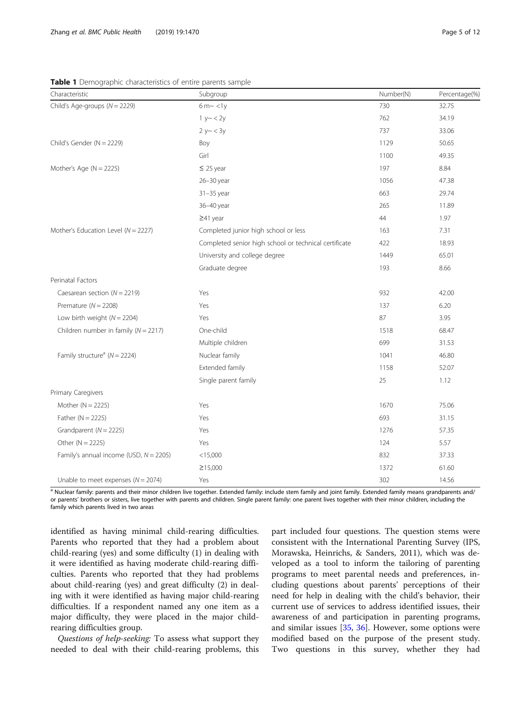| Characteristic                               | Subgroup                                              | Number(N) | Percentage(%) |
|----------------------------------------------|-------------------------------------------------------|-----------|---------------|
| Child's Age-groups ( $N = 2229$ )            | $6 m \sim 1y$                                         | 730       | 32.75         |
|                                              | $1 y \sim 2y$                                         | 762       | 34.19         |
|                                              | $2 y \sim 3y$                                         | 737       | 33.06         |
| Child's Gender (N = 2229)                    | Boy                                                   | 1129      | 50.65         |
|                                              | Girl                                                  | 1100      | 49.35         |
| Mother's Age ( $N = 2225$ )                  | $\leq$ 25 year                                        | 197       | 8.84          |
|                                              | 26-30 year                                            | 1056      | 47.38         |
|                                              | $31 - 35$ year                                        | 663       | 29.74         |
|                                              | 36-40 year                                            | 265       | 11.89         |
|                                              | $\geq$ 41 year                                        | 44        | 1.97          |
| Mother's Education Level ( $N = 2227$ )      | Completed junior high school or less                  | 163       | 7.31          |
|                                              | Completed senior high school or technical certificate | 422       | 18.93         |
|                                              | University and college degree                         | 1449      | 65.01         |
|                                              | Graduate degree                                       | 193       | 8.66          |
| Perinatal Factors                            |                                                       |           |               |
| Caesarean section ( $N = 2219$ )             | Yes                                                   | 932       | 42.00         |
| Premature ( $N = 2208$ )                     | Yes                                                   | 137       | 6.20          |
| Low birth weight $(N = 2204)$                | Yes                                                   | 87        | 3.95          |
| Children number in family ( $N = 2217$ )     | One-child                                             | 1518      | 68.47         |
|                                              | Multiple children                                     | 699       | 31.53         |
| Family structure <sup>a</sup> ( $N = 2224$ ) | Nuclear family                                        | 1041      | 46.80         |
|                                              | Extended family                                       | 1158      | 52.07         |
|                                              | Single parent family                                  | 25        | 1.12          |
| Primary Caregivers                           |                                                       |           |               |
| Mother ( $N = 2225$ )                        | Yes                                                   | 1670      | 75.06         |
| Father ( $N = 2225$ )                        | Yes                                                   | 693       | 31.15         |
| Grandparent ( $N = 2225$ )                   | Yes                                                   | 1276      | 57.35         |
| Other $(N = 2225)$                           | Yes                                                   | 124       | 5.57          |
| Family's annual income (USD, $N = 2205$ )    | $<$ 15,000                                            | 832       | 37.33         |
|                                              | $\geq$ 15,000                                         | 1372      | 61.60         |
| Unable to meet expenses ( $N = 2074$ )       | Yes                                                   | 302       | 14.56         |

<span id="page-4-0"></span>Table 1 Demographic characteristics of entire parents sample

<sup>a</sup> Nuclear family: parents and their minor children live together. Extended family: include stem family and joint family. Extended family means grandparents and/ or parents' brothers or sisters, live together with parents and children. Single parent family: one parent lives together with their minor children, including the family which parents lived in two areas

identified as having minimal child-rearing difficulties. Parents who reported that they had a problem about child-rearing (yes) and some difficulty (1) in dealing with it were identified as having moderate child-rearing difficulties. Parents who reported that they had problems about child-rearing (yes) and great difficulty (2) in dealing with it were identified as having major child-rearing difficulties. If a respondent named any one item as a major difficulty, they were placed in the major childrearing difficulties group.

Questions of help-seeking: To assess what support they needed to deal with their child-rearing problems, this

part included four questions. The question stems were consistent with the International Parenting Survey (IPS, Morawska, Heinrichs, & Sanders, 2011), which was developed as a tool to inform the tailoring of parenting programs to meet parental needs and preferences, including questions about parents' perceptions of their need for help in dealing with the child's behavior, their current use of services to address identified issues, their awareness of and participation in parenting programs, and similar issues [[35](#page-11-0), [36\]](#page-11-0). However, some options were modified based on the purpose of the present study. Two questions in this survey, whether they had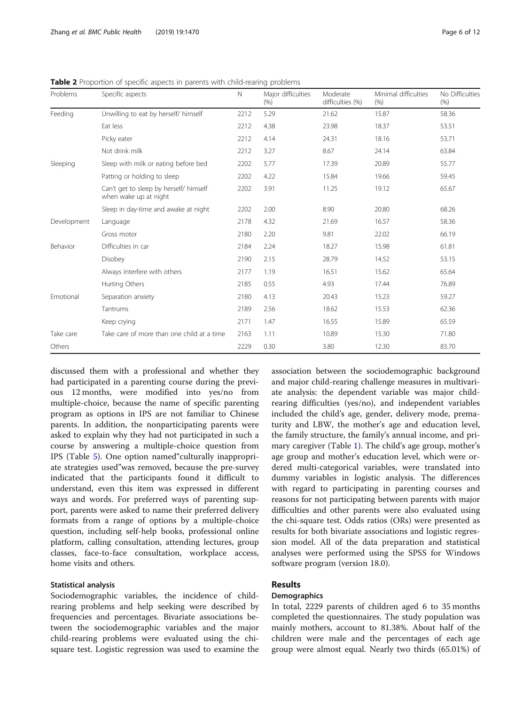| Problems    | Specific aspects                                                | N    | Major difficulties<br>(% ) | Moderate<br>difficulties (%) | Minimal difficulties<br>(% ) | No Difficulties<br>(% ) |
|-------------|-----------------------------------------------------------------|------|----------------------------|------------------------------|------------------------------|-------------------------|
| Feeding     | Unwilling to eat by herself/ himself                            | 2212 | 5.29                       | 21.62                        | 15.87                        | 58.36                   |
|             | Eat less                                                        | 2212 | 4.38                       | 23.98                        | 18.37                        | 53.51                   |
|             | Picky eater                                                     | 2212 | 4.14                       | 24.31                        | 18.16                        | 53.71                   |
|             | Not drink milk                                                  | 2212 | 3.27                       | 8.67                         | 24.14                        | 63.84                   |
| Sleeping    | Sleep with milk or eating before bed                            | 2202 | 5.77                       | 17.39                        | 20.89                        | 55.77                   |
|             | Patting or holding to sleep                                     | 2202 | 4.22                       | 15.84                        | 19.66                        | 59.45                   |
|             | Can't get to sleep by herself/ himself<br>when wake up at night | 2202 | 3.91                       | 11.25                        | 19.12                        | 65.67                   |
|             | Sleep in day-time and awake at night                            | 2202 | 2.00                       | 8.90                         | 20.80                        | 68.26                   |
| Development | Language                                                        | 2178 | 4.32                       | 21.69                        | 16.57                        | 58.36                   |
|             | Gross motor                                                     | 2180 | 2.20                       | 9.81                         | 22.02                        | 66.19                   |
| Behavior    | Difficulties in car                                             | 2184 | 2.24                       | 18.27                        | 15.98                        | 61.81                   |
|             | Disobey                                                         | 2190 | 2.15                       | 28.79                        | 14.52                        | 53.15                   |
|             | Always interfere with others                                    | 2177 | 1.19                       | 16.51                        | 15.62                        | 65.64                   |
|             | Hurting Others                                                  | 2185 | 0.55                       | 4.93                         | 17.44                        | 76.89                   |
| Emotional   | Separation anxiety                                              | 2180 | 4.13                       | 20.43                        | 15.23                        | 59.27                   |
|             | Tantrums                                                        | 2189 | 2.56                       | 18.62                        | 15.53                        | 62.36                   |
|             | Keep crying                                                     | 2171 | 1.47                       | 16.55                        | 15.89                        | 65.59                   |
| Take care   | Take care of more than one child at a time                      | 2163 | 1.11                       | 10.89                        | 15.30                        | 71.80                   |
| Others      |                                                                 | 2229 | 0.30                       | 3.80                         | 12.30                        | 83.70                   |

<span id="page-5-0"></span>Table 2 Proportion of specific aspects in parents with child-rearing problems

discussed them with a professional and whether they had participated in a parenting course during the previous 12 months, were modified into yes/no from multiple-choice, because the name of specific parenting program as options in IPS are not familiar to Chinese parents. In addition, the nonparticipating parents were asked to explain why they had not participated in such a course by answering a multiple-choice question from IPS (Table [5](#page-9-0)). One option named"culturally inappropriate strategies used"was removed, because the pre-survey indicated that the participants found it difficult to understand, even this item was expressed in different ways and words. For preferred ways of parenting support, parents were asked to name their preferred delivery formats from a range of options by a multiple-choice question, including self-help books, professional online platform, calling consultation, attending lectures, group classes, face-to-face consultation, workplace access, home visits and others.

#### Statistical analysis

Sociodemographic variables, the incidence of childrearing problems and help seeking were described by frequencies and percentages. Bivariate associations between the sociodemographic variables and the major child-rearing problems were evaluated using the chisquare test. Logistic regression was used to examine the association between the sociodemographic background and major child-rearing challenge measures in multivariate analysis: the dependent variable was major childrearing difficulties (yes/no), and independent variables included the child's age, gender, delivery mode, prematurity and LBW, the mother's age and education level, the family structure, the family's annual income, and primary caregiver (Table [1\)](#page-4-0). The child's age group, mother's age group and mother's education level, which were ordered multi-categorical variables, were translated into dummy variables in logistic analysis. The differences with regard to participating in parenting courses and reasons for not participating between parents with major difficulties and other parents were also evaluated using the chi-square test. Odds ratios (ORs) were presented as results for both bivariate associations and logistic regression model. All of the data preparation and statistical analyses were performed using the SPSS for Windows software program (version 18.0).

#### Results

#### **Demographics**

In total, 2229 parents of children aged 6 to 35 months completed the questionnaires. The study population was mainly mothers, account to 81.38%. About half of the children were male and the percentages of each age group were almost equal. Nearly two thirds (65.01%) of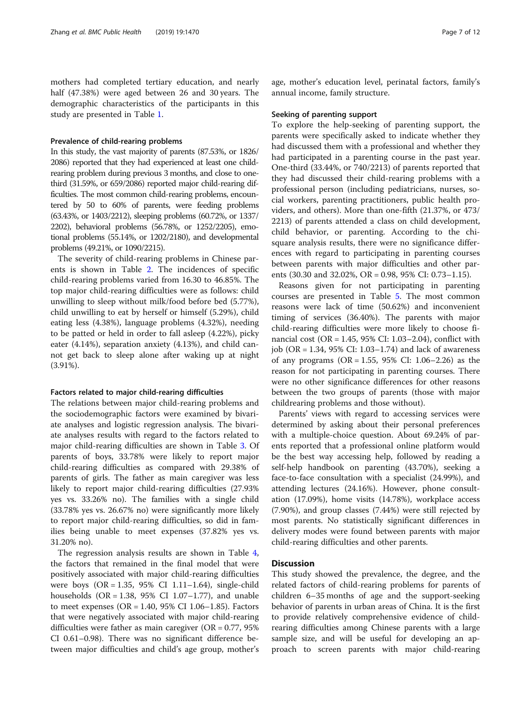mothers had completed tertiary education, and nearly half (47.38%) were aged between 26 and 30 years. The demographic characteristics of the participants in this study are presented in Table [1](#page-4-0).

#### Prevalence of child-rearing problems

In this study, the vast majority of parents (87.53%, or 1826/ 2086) reported that they had experienced at least one childrearing problem during previous 3 months, and close to onethird (31.59%, or 659/2086) reported major child-rearing difficulties. The most common child-rearing problems, encountered by 50 to 60% of parents, were feeding problems (63.43%, or 1403/2212), sleeping problems (60.72%, or 1337/ 2202), behavioral problems (56.78%, or 1252/2205), emotional problems (55.14%, or 1202/2180), and developmental problems (49.21%, or 1090/2215).

The severity of child-rearing problems in Chinese parents is shown in Table [2.](#page-5-0) The incidences of specific child-rearing problems varied from 16.30 to 46.85%. The top major child-rearing difficulties were as follows: child unwilling to sleep without milk/food before bed (5.77%), child unwilling to eat by herself or himself (5.29%), child eating less (4.38%), language problems (4.32%), needing to be patted or held in order to fall asleep (4.22%), picky eater (4.14%), separation anxiety (4.13%), and child cannot get back to sleep alone after waking up at night (3.91%).

#### Factors related to major child-rearing difficulties

The relations between major child-rearing problems and the sociodemographic factors were examined by bivariate analyses and logistic regression analysis. The bivariate analyses results with regard to the factors related to major child-rearing difficulties are shown in Table [3](#page-7-0). Of parents of boys, 33.78% were likely to report major child-rearing difficulties as compared with 29.38% of parents of girls. The father as main caregiver was less likely to report major child-rearing difficulties (27.93% yes vs. 33.26% no). The families with a single child (33.78% yes vs. 26.67% no) were significantly more likely to report major child-rearing difficulties, so did in families being unable to meet expenses (37.82% yes vs. 31.20% no).

The regression analysis results are shown in Table [4](#page-8-0), the factors that remained in the final model that were positively associated with major child-rearing difficulties were boys (OR = 1.35, 95% CI 1.11–1.64), single-child households ( $OR = 1.38$ ,  $95\%$  CI 1.07–1.77), and unable to meet expenses (OR = 1.40, 95% CI 1.06–1.85). Factors that were negatively associated with major child-rearing difficulties were father as main caregiver ( $OR = 0.77$ , 95%) CI 0.61–0.98). There was no significant difference between major difficulties and child's age group, mother's age, mother's education level, perinatal factors, family's annual income, family structure.

#### Seeking of parenting support

To explore the help-seeking of parenting support, the parents were specifically asked to indicate whether they had discussed them with a professional and whether they had participated in a parenting course in the past year. One-third (33.44%, or 740/2213) of parents reported that they had discussed their child-rearing problems with a professional person (including pediatricians, nurses, social workers, parenting practitioners, public health providers, and others). More than one-fifth (21.37%, or 473/ 2213) of parents attended a class on child development, child behavior, or parenting. According to the chisquare analysis results, there were no significance differences with regard to participating in parenting courses between parents with major difficulties and other parents (30.30 and 32.02%, OR = 0.98, 95% CI: 0.73–1.15).

Reasons given for not participating in parenting courses are presented in Table [5](#page-9-0). The most common reasons were lack of time (50.62%) and inconvenient timing of services (36.40%). The parents with major child-rearing difficulties were more likely to choose financial cost (OR = 1.45, 95% CI: 1.03–2.04), conflict with job (OR = 1.34, 95% CI: 1.03–1.74) and lack of awareness of any programs  $(OR = 1.55, 95\% \text{ CI: } 1.06 - 2.26)$  as the reason for not participating in parenting courses. There were no other significance differences for other reasons between the two groups of parents (those with major childrearing problems and those without).

Parents' views with regard to accessing services were determined by asking about their personal preferences with a multiple-choice question. About 69.24% of parents reported that a professional online platform would be the best way accessing help, followed by reading a self-help handbook on parenting (43.70%), seeking a face-to-face consultation with a specialist (24.99%), and attending lectures (24.16%). However, phone consultation (17.09%), home visits (14.78%), workplace access (7.90%), and group classes (7.44%) were still rejected by most parents. No statistically significant differences in delivery modes were found between parents with major child-rearing difficulties and other parents.

#### **Discussion**

This study showed the prevalence, the degree, and the related factors of child-rearing problems for parents of children 6–35 months of age and the support-seeking behavior of parents in urban areas of China. It is the first to provide relatively comprehensive evidence of childrearing difficulties among Chinese parents with a large sample size, and will be useful for developing an approach to screen parents with major child-rearing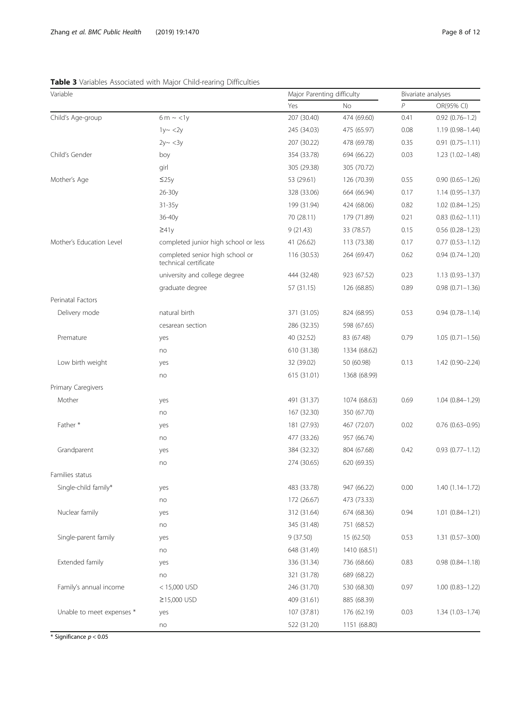### <span id="page-7-0"></span>Table 3 Variables Associated with Major Child-rearing Difficulties

| Variable                  |                                                          | Major Parenting difficulty |              | Bivariate analyses |                        |
|---------------------------|----------------------------------------------------------|----------------------------|--------------|--------------------|------------------------|
|                           |                                                          | Yes                        | <b>No</b>    | $\overline{P}$     | OR(95% CI)             |
| Child's Age-group         | $6m \sim 1y$                                             | 207 (30.40)                | 474 (69.60)  | 0.41               | $0.92(0.76 - 1.2)$     |
|                           | $1y \sim 2y$                                             | 245 (34.03)                | 475 (65.97)  | 0.08               | 1.19 (0.98-1.44)       |
|                           | $2y \sim 3y$                                             | 207 (30.22)                | 478 (69.78)  | 0.35               | $0.91(0.75 - 1.11)$    |
| Child's Gender            | boy                                                      | 354 (33.78)                | 694 (66.22)  | 0.03               | $1.23(1.02 - 1.48)$    |
|                           | girl                                                     | 305 (29.38)                | 305 (70.72)  |                    |                        |
| Mother's Age              | $\leq$ 25y                                               | 53 (29.61)                 | 126 (70.39)  | 0.55               | $0.90(0.65 - 1.26)$    |
|                           | $26-30y$                                                 | 328 (33.06)                | 664 (66.94)  | 0.17               | $1.14(0.95 - 1.37)$    |
|                           | $31-35y$                                                 | 199 (31.94)                | 424 (68.06)  | 0.82               | $1.02(0.84 - 1.25)$    |
|                           | 36-40y                                                   | 70 (28.11)                 | 179 (71.89)  | 0.21               | $0.83(0.62 - 1.11)$    |
|                           | $\geq 41y$                                               | 9(21.43)                   | 33 (78.57)   | 0.15               | $0.56$ $(0.28 - 1.23)$ |
| Mother's Education Level  | completed junior high school or less                     | 41 (26.62)                 | 113 (73.38)  | 0.17               | $0.77$ $(0.53 - 1.12)$ |
|                           | completed senior high school or<br>technical certificate | 116 (30.53)                | 264 (69.47)  | 0.62               | $0.94(0.74 - 1.20)$    |
|                           | university and college degree                            | 444 (32.48)                | 923 (67.52)  | 0.23               | $1.13(0.93 - 1.37)$    |
|                           | graduate degree                                          | 57 (31.15)                 | 126 (68.85)  | 0.89               | $0.98(0.71 - 1.36)$    |
| Perinatal Factors         |                                                          |                            |              |                    |                        |
| Delivery mode             | natural birth                                            | 371 (31.05)                | 824 (68.95)  | 0.53               | $0.94(0.78 - 1.14)$    |
|                           | cesarean section                                         | 286 (32.35)                | 598 (67.65)  |                    |                        |
| Premature                 | yes                                                      | 40 (32.52)                 | 83 (67.48)   | 0.79               | $1.05(0.71 - 1.56)$    |
|                           | no                                                       | 610 (31.38)                | 1334 (68.62) |                    |                        |
| Low birth weight          | yes                                                      | 32 (39.02)                 | 50 (60.98)   | 0.13               | 1.42 (0.90-2.24)       |
|                           | no                                                       | 615 (31.01)                | 1368 (68.99) |                    |                        |
| Primary Caregivers        |                                                          |                            |              |                    |                        |
| Mother                    | yes                                                      | 491 (31.37)                | 1074 (68.63) | 0.69               | $1.04(0.84 - 1.29)$    |
|                           | no                                                       | 167 (32.30)                | 350 (67.70)  |                    |                        |
| Father*                   | yes                                                      | 181 (27.93)                | 467 (72.07)  | 0.02               | $0.76$ $(0.63 - 0.95)$ |
|                           | no                                                       | 477 (33.26)                | 957 (66.74)  |                    |                        |
| Grandparent               | yes                                                      | 384 (32.32)                | 804 (67.68)  | 0.42               | $0.93(0.77 - 1.12)$    |
|                           | no                                                       | 274 (30.65)                | 620 (69.35)  |                    |                        |
| Families status           |                                                          |                            |              |                    |                        |
| Single-child family*      | yes                                                      | 483 (33.78)                | 947 (66.22)  | $0.00\,$           | 1.40 (1.14-1.72)       |
|                           | no                                                       | 172 (26.67)                | 473 (73.33)  |                    |                        |
| Nuclear family            | yes                                                      | 312 (31.64)                | 674 (68.36)  | 0.94               | $1.01(0.84 - 1.21)$    |
|                           | no                                                       | 345 (31.48)                | 751 (68.52)  |                    |                        |
| Single-parent family      | yes                                                      | 9(37.50)                   | 15 (62.50)   | 0.53               | $1.31(0.57 - 3.00)$    |
|                           | no                                                       | 648 (31.49)                | 1410 (68.51) |                    |                        |
| Extended family           | yes                                                      | 336 (31.34)                | 736 (68.66)  | 0.83               | $0.98(0.84 - 1.18)$    |
|                           | no                                                       | 321 (31.78)                | 689 (68.22)  |                    |                        |
| Family's annual income    | $<$ 15,000 USD                                           | 246 (31.70)                | 530 (68.30)  | 0.97               | $1.00(0.83 - 1.22)$    |
|                           | ≥15,000 USD                                              | 409 (31.61)                | 885 (68.39)  |                    |                        |
| Unable to meet expenses * | yes                                                      | 107 (37.81)                | 176 (62.19)  | 0.03               | $1.34(1.03 - 1.74)$    |
|                           | no                                                       | 522 (31.20)                | 1151 (68.80) |                    |                        |

\* Significance  $p < 0.05$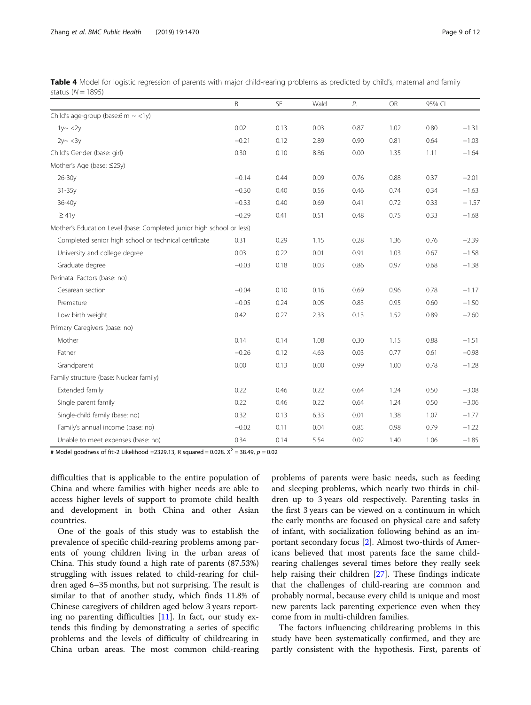<span id="page-8-0"></span>

| Table 4 Model for logistic regression of parents with major child-rearing problems as predicted by child's, maternal and family |  |
|---------------------------------------------------------------------------------------------------------------------------------|--|
| status (N = 1895)                                                                                                               |  |

|                                                                       | B       | <b>SE</b> | Wald | Р.   | <b>OR</b> | 95% CI |         |
|-----------------------------------------------------------------------|---------|-----------|------|------|-----------|--------|---------|
| Child's age-group (base:6 m $\sim$ <1y)                               |         |           |      |      |           |        |         |
| $1y - 2y$                                                             | 0.02    | 0.13      | 0.03 | 0.87 | 1.02      | 0.80   | $-1.31$ |
| $2v \sim < 3v$                                                        | $-0.21$ | 0.12      | 2.89 | 0.90 | 0.81      | 0.64   | $-1.03$ |
| Child's Gender (base: girl)                                           | 0.30    | 0.10      | 8.86 | 0.00 | 1.35      | 1.11   | $-1.64$ |
| Mother's Age (base: ≤25y)                                             |         |           |      |      |           |        |         |
| $26 - 30y$                                                            | $-0.14$ | 0.44      | 0.09 | 0.76 | 0.88      | 0.37   | $-2.01$ |
| $31-35y$                                                              | $-0.30$ | 0.40      | 0.56 | 0.46 | 0.74      | 0.34   | $-1.63$ |
| 36-40y                                                                | $-0.33$ | 0.40      | 0.69 | 0.41 | 0.72      | 0.33   | $-1.57$ |
| $\geq 41y$                                                            | $-0.29$ | 0.41      | 0.51 | 0.48 | 0.75      | 0.33   | $-1.68$ |
| Mother's Education Level (base: Completed junior high school or less) |         |           |      |      |           |        |         |
| Completed senior high school or technical certificate                 | 0.31    | 0.29      | 1.15 | 0.28 | 1.36      | 0.76   | $-2.39$ |
| University and college degree                                         | 0.03    | 0.22      | 0.01 | 0.91 | 1.03      | 0.67   | $-1.58$ |
| Graduate degree                                                       | $-0.03$ | 0.18      | 0.03 | 0.86 | 0.97      | 0.68   | $-1.38$ |
| Perinatal Factors (base: no)                                          |         |           |      |      |           |        |         |
| Cesarean section                                                      | $-0.04$ | 0.10      | 0.16 | 0.69 | 0.96      | 0.78   | $-1.17$ |
| Premature                                                             | $-0.05$ | 0.24      | 0.05 | 0.83 | 0.95      | 0.60   | $-1.50$ |
| Low birth weight                                                      | 0.42    | 0.27      | 2.33 | 0.13 | 1.52      | 0.89   | $-2.60$ |
| Primary Caregivers (base: no)                                         |         |           |      |      |           |        |         |
| Mother                                                                | 0.14    | 0.14      | 1.08 | 0.30 | 1.15      | 0.88   | $-1.51$ |
| Father                                                                | $-0.26$ | 0.12      | 4.63 | 0.03 | 0.77      | 0.61   | $-0.98$ |
| Grandparent                                                           | 0.00    | 0.13      | 0.00 | 0.99 | 1.00      | 0.78   | $-1.28$ |
| Family structure (base: Nuclear family)                               |         |           |      |      |           |        |         |
| Extended family                                                       | 0.22    | 0.46      | 0.22 | 0.64 | 1.24      | 0.50   | $-3.08$ |
| Single parent family                                                  | 0.22    | 0.46      | 0.22 | 0.64 | 1.24      | 0.50   | $-3.06$ |
| Single-child family (base: no)                                        | 0.32    | 0.13      | 6.33 | 0.01 | 1.38      | 1.07   | $-1.77$ |
| Family's annual income (base: no)                                     | $-0.02$ | 0.11      | 0.04 | 0.85 | 0.98      | 0.79   | $-1.22$ |
| Unable to meet expenses (base: no)                                    | 0.34    | 0.14      | 5.54 | 0.02 | 1.40      | 1.06   | $-1.85$ |

# Model goodness of fit:-2 Likelihood =2329.13, R squared = 0.028.  $X^2 = 38.49$ ,  $p = 0.02$ 

difficulties that is applicable to the entire population of China and where families with higher needs are able to access higher levels of support to promote child health and development in both China and other Asian countries.

One of the goals of this study was to establish the prevalence of specific child-rearing problems among parents of young children living in the urban areas of China. This study found a high rate of parents (87.53%) struggling with issues related to child-rearing for children aged 6–35 months, but not surprising. The result is similar to that of another study, which finds 11.8% of Chinese caregivers of children aged below 3 years reporting no parenting difficulties [[11](#page-11-0)]. In fact, our study extends this finding by demonstrating a series of specific problems and the levels of difficulty of childrearing in China urban areas. The most common child-rearing

problems of parents were basic needs, such as feeding and sleeping problems, which nearly two thirds in children up to 3 years old respectively. Parenting tasks in the first 3 years can be viewed on a continuum in which the early months are focused on physical care and safety of infant, with socialization following behind as an important secondary focus [\[2](#page-10-0)]. Almost two-thirds of Americans believed that most parents face the same childrearing challenges several times before they really seek help raising their children [[27\]](#page-11-0). These findings indicate that the challenges of child-rearing are common and probably normal, because every child is unique and most new parents lack parenting experience even when they come from in multi-children families.

The factors influencing childrearing problems in this study have been systematically confirmed, and they are partly consistent with the hypothesis. First, parents of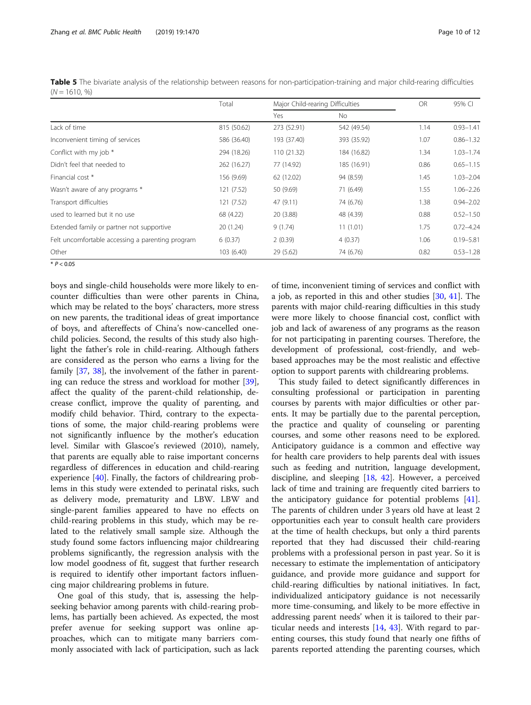|                                                  | Total       | Major Child-rearing Difficulties |             | <b>OR</b> | 95% CI        |
|--------------------------------------------------|-------------|----------------------------------|-------------|-----------|---------------|
|                                                  |             | Yes                              | No.         |           |               |
| Lack of time                                     | 815 (50.62) | 273 (52.91)                      | 542 (49.54) | 1.14      | $0.93 - 1.41$ |
| Inconvenient timing of services                  | 586 (36.40) | 193 (37.40)                      | 393 (35.92) | 1.07      | $0.86 - 1.32$ |
| Conflict with my job *                           | 294 (18.26) | 110 (21.32)                      | 184 (16.82) | 1.34      | $1.03 - 1.74$ |
| Didn't feel that needed to                       | 262 (16.27) | 77 (14.92)                       | 185 (16.91) | 0.86      | $0.65 - 1.15$ |
| Financial cost *                                 | 156 (9.69)  | 62 (12.02)                       | 94 (8.59)   | 1.45      | $1.03 - 2.04$ |
| Wasn't aware of any programs *                   | 121 (7.52)  | 50 (9.69)                        | 71 (6.49)   | 1.55      | $1.06 - 2.26$ |
| Transport difficulties                           | 121 (7.52)  | 47 (9.11)                        | 74 (6.76)   | 1.38      | $0.94 - 2.02$ |
| used to learned but it no use                    | 68 (4.22)   | 20 (3.88)                        | 48 (4.39)   | 0.88      | $0.52 - 1.50$ |
| Extended family or partner not supportive        | 20(1.24)    | 9(1.74)                          | 11(1.01)    | 1.75      | $0.72 - 4.24$ |
| Felt uncomfortable accessing a parenting program | 6(0.37)     | 2(0.39)                          | 4(0.37)     | 1.06      | $0.19 - 5.81$ |
| Other                                            | 103 (6.40)  | 29 (5.62)                        | 74 (6.76)   | 0.82      | $0.53 - 1.28$ |
| $* P < 0.05$                                     |             |                                  |             |           |               |

<span id="page-9-0"></span>Table 5 The bivariate analysis of the relationship between reasons for non-participation-training and major child-rearing difficulties  $(N = 1610, %)$ 

boys and single-child households were more likely to encounter difficulties than were other parents in China, which may be related to the boys' characters, more stress on new parents, the traditional ideas of great importance of boys, and aftereffects of China's now-cancelled onechild policies. Second, the results of this study also highlight the father's role in child-rearing. Although fathers are considered as the person who earns a living for the family [\[37](#page-11-0), [38\]](#page-11-0), the involvement of the father in parenting can reduce the stress and workload for mother [\[39](#page-11-0)], affect the quality of the parent-child relationship, decrease conflict, improve the quality of parenting, and modify child behavior. Third, contrary to the expectations of some, the major child-rearing problems were not significantly influence by the mother's education level. Similar with Glascoe's reviewed (2010), namely, that parents are equally able to raise important concerns regardless of differences in education and child-rearing experience [[40\]](#page-11-0). Finally, the factors of childrearing problems in this study were extended to perinatal risks, such as delivery mode, prematurity and LBW. LBW and single-parent families appeared to have no effects on child-rearing problems in this study, which may be related to the relatively small sample size. Although the study found some factors influencing major childrearing problems significantly, the regression analysis with the low model goodness of fit, suggest that further research is required to identify other important factors influencing major childrearing problems in future.

One goal of this study, that is, assessing the helpseeking behavior among parents with child-rearing problems, has partially been achieved. As expected, the most prefer avenue for seeking support was online approaches, which can to mitigate many barriers commonly associated with lack of participation, such as lack

of time, inconvenient timing of services and conflict with a job, as reported in this and other studies [\[30](#page-11-0), [41\]](#page-11-0). The parents with major child-rearing difficulties in this study were more likely to choose financial cost, conflict with job and lack of awareness of any programs as the reason for not participating in parenting courses. Therefore, the development of professional, cost-friendly, and webbased approaches may be the most realistic and effective option to support parents with childrearing problems.

This study failed to detect significantly differences in consulting professional or participation in parenting courses by parents with major difficulties or other parents. It may be partially due to the parental perception, the practice and quality of counseling or parenting courses, and some other reasons need to be explored. Anticipatory guidance is a common and effective way for health care providers to help parents deal with issues such as feeding and nutrition, language development, discipline, and sleeping [[18,](#page-11-0) [42](#page-11-0)]. However, a perceived lack of time and training are frequently cited barriers to the anticipatory guidance for potential problems [\[41](#page-11-0)]. The parents of children under 3 years old have at least 2 opportunities each year to consult health care providers at the time of health checkups, but only a third parents reported that they had discussed their child-rearing problems with a professional person in past year. So it is necessary to estimate the implementation of anticipatory guidance, and provide more guidance and support for child-rearing difficulties by national initiatives. In fact, individualized anticipatory guidance is not necessarily more time-consuming, and likely to be more effective in addressing parent needs' when it is tailored to their particular needs and interests [\[14,](#page-11-0) [43\]](#page-11-0). With regard to parenting courses, this study found that nearly one fifths of parents reported attending the parenting courses, which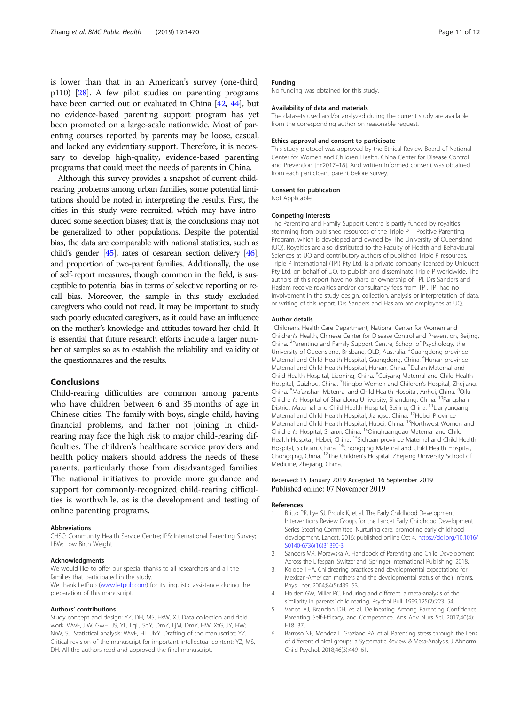<span id="page-10-0"></span>is lower than that in an American's survey (one-third, p110) [\[28](#page-11-0)]. A few pilot studies on parenting programs have been carried out or evaluated in China [[42](#page-11-0), [44](#page-11-0)], but no evidence-based parenting support program has yet been promoted on a large-scale nationwide. Most of parenting courses reported by parents may be loose, casual, and lacked any evidentiary support. Therefore, it is necessary to develop high-quality, evidence-based parenting programs that could meet the needs of parents in China.

Although this survey provides a snapshot of current childrearing problems among urban families, some potential limitations should be noted in interpreting the results. First, the cities in this study were recruited, which may have introduced some selection biases; that is, the conclusions may not be generalized to other populations. Despite the potential bias, the data are comparable with national statistics, such as child's gender [\[45\]](#page-11-0), rates of cesarean section delivery [\[46\]](#page-11-0), and proportion of two-parent families. Additionally, the use of self-report measures, though common in the field, is susceptible to potential bias in terms of selective reporting or recall bias. Moreover, the sample in this study excluded caregivers who could not read. It may be important to study such poorly educated caregivers, as it could have an influence on the mother's knowledge and attitudes toward her child. It is essential that future research efforts include a larger number of samples so as to establish the reliability and validity of the questionnaires and the results.

#### Conclusions

Child-rearing difficulties are common among parents who have children between 6 and 35 months of age in Chinese cities. The family with boys, single-child, having financial problems, and father not joining in childrearing may face the high risk to major child-rearing difficulties. The children's healthcare service providers and health policy makers should address the needs of these parents, particularly those from disadvantaged families. The national initiatives to provide more guidance and support for commonly-recognized child-rearing difficulties is worthwhile, as is the development and testing of online parenting programs.

#### Abbreviations

CHSC: Community Health Service Centre; IPS: International Parenting Survey; LBW: Low Birth Weight

#### Acknowledgments

We would like to offer our special thanks to all researchers and all the families that participated in the study.

We thank LetPub ([www.letpub.com](http://www.letpub.com)) for its linguistic assistance during the preparation of this manuscript.

#### Authors' contributions

Study concept and design: YZ, DH, MS, HsW, XJ. Data collection and field work: WwF, JlW, GwH, JS, YL, LqL, SqY, DmZ, LjM, DmY, HW, XtG, JY, HW; NrW, SJ. Statistical analysis: WwF, HT, JlxY. Drafting of the manuscript: YZ. Critical revision of the manuscript for important intellectual content: YZ, MS, DH. All the authors read and approved the final manuscript.

#### Funding

No funding was obtained for this study.

#### Availability of data and materials

The datasets used and/or analyzed during the current study are available from the corresponding author on reasonable request.

#### Ethics approval and consent to participate

This study protocol was approved by the Ethical Review Board of National Center for Women and Children Health, China Center for Disease Control and Prevention [FY2017–18]. And written informed consent was obtained from each participant parent before survey.

#### Consent for publication

Not Applicable.

#### Competing interests

The Parenting and Family Support Centre is partly funded by royalties stemming from published resources of the Triple P – Positive Parenting Program, which is developed and owned by The University of Queensland (UQ). Royalties are also distributed to the Faculty of Health and Behavioural Sciences at UQ and contributory authors of published Triple P resources. Triple P International (TPI) Pty Ltd. is a private company licensed by Uniquest Pty Ltd. on behalf of UQ, to publish and disseminate Triple P worldwide. The authors of this report have no share or ownership of TPI. Drs Sanders and Haslam receive royalties and/or consultancy fees from TPI. TPI had no involvement in the study design, collection, analysis or interpretation of data, or writing of this report. Drs Sanders and Haslam are employees at UQ.

#### Author details

<sup>1</sup> Children's Health Care Department, National Center for Women and Children's Health, Chinese Center for Disease Control and Prevention, Beijing, China. <sup>2</sup>Parenting and Family Support Centre, School of Psychology, the University of Queensland, Brisbane, QLD, Australia. <sup>3</sup>Guangdong province Maternal and Child Health Hospital, Guangdong, China. <sup>4</sup> Hunan province Maternal and Child Health Hospital, Hunan, China. <sup>5</sup>Dalian Maternal and Child Health Hospital, Liaoning, China. <sup>6</sup>Guiyang Maternal and Child Health Hospital, Guizhou, China. <sup>7</sup>Ningbo Women and Children's Hospital, Zhejiang China. <sup>8</sup>Ma'anshan Maternal and Child Health Hospital, Anhui, China. <sup>9</sup>Qilu Children's Hospital of Shandong University, Shandong, China. <sup>10</sup>Fangshan District Maternal and Child Health Hospital, Beijing, China. 11Lianyungang Maternal and Child Health Hospital, Jiangsu, China. <sup>12</sup>Hubei Province Maternal and Child Health Hospital, Hubei, China. <sup>13</sup>Northwest Women and Children's Hospital, Shanxi, China. 14Qinghuangdao Maternal and Child Health Hospital, Hebei, China. 15Sichuan province Maternal and Child Health Hospital, Sichuan, China. <sup>16</sup>Chongqing Maternal and Child Health Hospital, Chongqing, China. 17The Children's Hospital, Zhejiang University School of Medicine, Zhejiang, China.

#### Received: 15 January 2019 Accepted: 16 September 2019 Published online: 07 November 2019

#### References

- 1. Britto PR, Lye SJ, Proulx K, et al. The Early Childhood Development Interventions Review Group, for the Lancet Early Childhood Development Series Steering Committee. Nurturing care: promoting early childhood development. Lancet. 2016; published online Oct 4. [https://doi.org/10.1016/](https://doi.org/10.1016/S0140-6736(16)31390-3) [S0140-6736\(16\)31390-3](https://doi.org/10.1016/S0140-6736(16)31390-3).
- 2. Sanders MR, Morawska A. Handbook of Parenting and Child Development Across the Lifespan. Switzerland: Springer International Publishing; 2018.
- 3. Kolobe THA. Childrearing practices and developmental expectations for Mexican-American mothers and the developmental status of their infants. Phys Ther. 2004;84(5):439–53.
- 4. Holden GW, Miller PC. Enduring and different: a meta-analysis of the similarity in parents' child rearing. Psychol Bull. 1999;125(2):223–54.
- 5. Vance AJ, Brandon DH, et al. Delineating Among Parenting Confidence, Parenting Self-Efficacy, and Competence. Ans Adv Nurs Sci. 2017;40(4): E18–37.
- Barroso NE, Mendez L, Graziano PA, et al. Parenting stress through the Lens of different clinical groups: a Systematic Review & Meta-Analysis. J Abnorm Child Psychol. 2018;46(3):449–61.